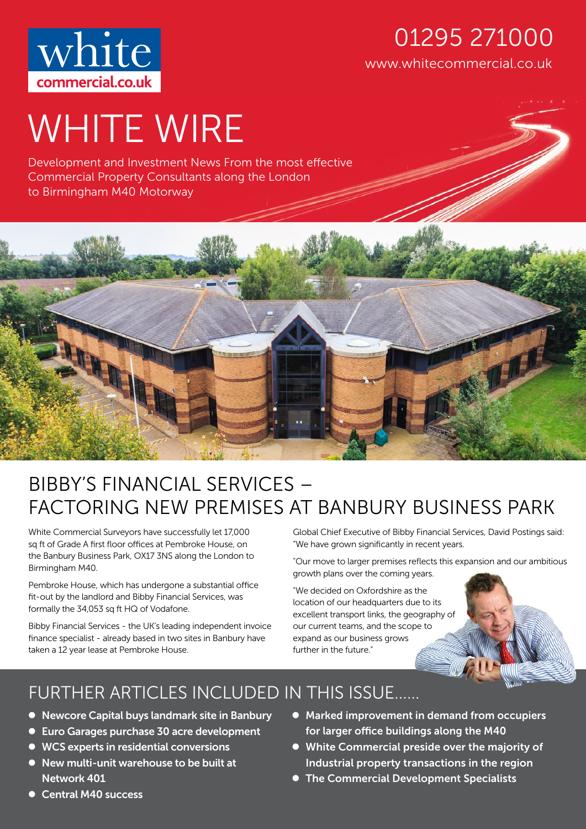

### www.whitecommercial.co.uk 01295 271000

# WHITE WIRE

Development and Investment News From the most effective Commercial Property Consultants along the London to Birmingham M40 Motorway



## BIBBY'S FINANCIAL SERVICES – FACTORING NEW PREMISES AT BANBURY BUSINESS PARK

White Commercial Surveyors have successfully let 17,000 sq ft of Grade A first floor offices at Pembroke House, on the Banbury Business Park, OX17 3NS along the London to Birmingham M40.

Pembroke House, which has undergone a substantial office fit-out by the landlord and Bibby Financial Services, was formally the 34,053 sq ft HQ of Vodafone.

Bibby Financial Services - the UK's leading independent invoice finance specialist - already based in two sites in Banbury have taken a 12 year lease at Pembroke House.

Global Chief Executive of Bibby Financial Services, David Postings said: "We have grown significantly in recent years.

"Our move to larger premises reflects this expansion and our ambitious growth plans over the coming years.

"We decided on Oxfordshire as the location of our headquarters due to its excellent transport links, the geography of our current teams, and the scope to expand as our business grows further in the future."

## FURTHER ARTICLES INCLUDED IN THIS ISSUE……

- Newcore Capital buys landmark site in Banbury
- Euro Garages purchase 30 acre development
- WCS experts in residential conversions
- New multi-unit warehouse to be built at Network 401
- Marked improvement in demand from occupiers for larger office buildings along the M40
- White Commercial preside over the majority of Industrial property transactions in the region
- **The Commercial Development Specialists**

 Central M40 success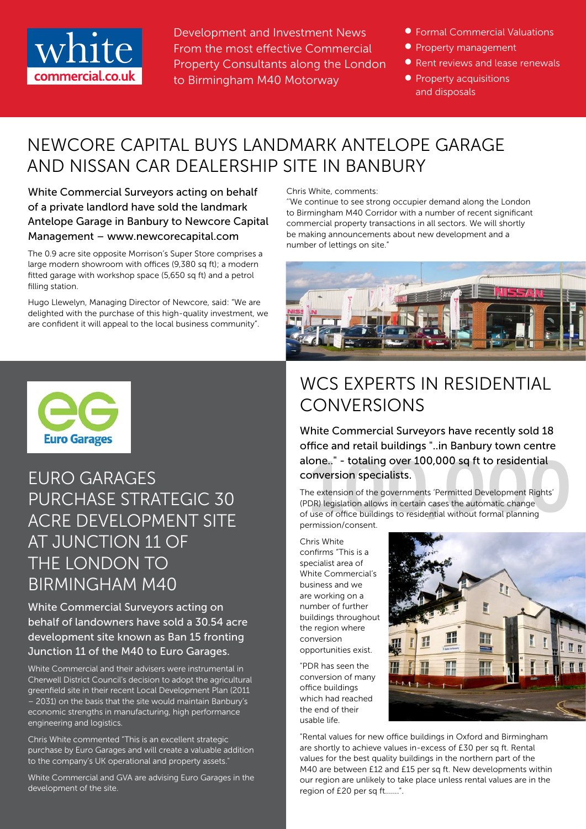

Development and Investment News From the most effective Commercial Property Consultants along the London to Birmingham M40 Motorway

- **Formal Commercial Valuations**
- **Property management**
- Rent reviews and lease renewals
- **•** Property acquisitions and disposals

#### NEWCORE CAPITAL BUYS LANDMARK ANTELOPE GARAGE AND NISSAN CAR DEALERSHIP SITE IN BANBURY

White Commercial Surveyors acting on behalf of a private landlord have sold the landmark Antelope Garage in Banbury to Newcore Capital Management – www.newcorecapital.com

The 0.9 acre site opposite Morrison's Super Store comprises a large modern showroom with offices (9,380 sq ft); a modern fitted garage with workshop space (5,650 sq ft) and a petrol filling station.

Hugo Llewelyn, Managing Director of Newcore, said: "We are delighted with the purchase of this high-quality investment, we are confident it will appeal to the local business community".



EURO GARAGES PURCHASE STRATEGIC 30 ACRE DEVELOPMENT SITE AT JUNCTION 11 OF THE LONDON TO BIRMINGHAM M40

White Commercial Surveyors acting on behalf of landowners have sold a 30.54 acre development site known as Ban 15 fronting Junction 11 of the M40 to Euro Garages.

White Commercial and their advisers were instrumental in Cherwell District Council's decision to adopt the agricultural greenfield site in their recent Local Development Plan (2011 – 2031) on the basis that the site would maintain Banbury's economic strengths in manufacturing, high performance engineering and logistics.

Chris White commented "This is an excellent strategic purchase by Euro Garages and will create a valuable addition to the company's UK operational and property assets."

White Commercial and GVA are advising Euro Garages in the development of the site.

Chris White, comments:

''We continue to see strong occupier demand along the London to Birmingham M40 Corridor with a number of recent significant commercial property transactions in all sectors. We will shortly be making announcements about new development and a number of lettings on site."



## WCS EXPERTS IN RESIDENTIAL **CONVERSIONS**

White Commercial Surveyors have recently sold 18 office and retail buildings "..in Banbury town centre conversion specialists.

alone.." - totaling over 100,000 sq ft to residential<br>
conversion specialists.<br>
The extension of the governments 'Permitted Development Rights'<br>
(PDR) legislation allows in certain cases the automatic change<br>
of use of off The extension of the governments 'Permitted Development Rights' (PDR) legislation allows in certain cases the automatic change of use of office buildings to residential without formal planning permission/consent.

Chris White confirms "This is a specialist area of White Commercial's business and we are working on a number of further buildings throughout the region where conversion opportunities exist.

"PDR has seen the conversion of many office buildings which had reached the end of their usable life.



"Rental values for new office buildings in Oxford and Birmingham are shortly to achieve values in-excess of £30 per sq ft. Rental values for the best quality buildings in the northern part of the M40 are between £12 and £15 per sq ft. New developments within our region are unlikely to take place unless rental values are in the region of £20 per sq ft…….".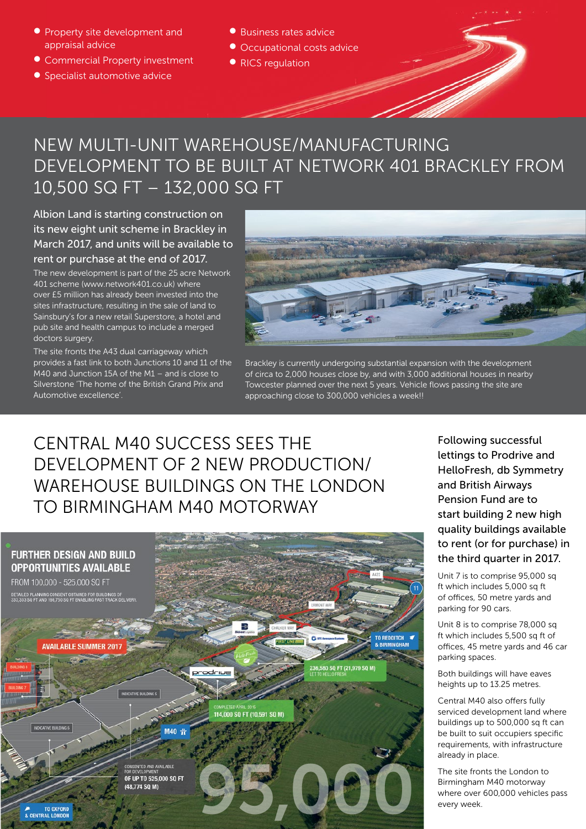- **•** Property site development and appraisal advice
- Commercial Property investment
- Specialist automotive advice
- Business rates advice
- Occupational costs advice
- RICS regulation

#### NEW MULTI-UNIT WAREHOUSE/MANUFACTURING DEVELOPMENT TO BE BUILT AT NETWORK 401 BRACKLEY FROM 10,500 SQ FT – 132,000 SQ FT

Albion Land is starting construction on its new eight unit scheme in Brackley in March 2017, and units will be available to rent or purchase at the end of 2017.

The new development is part of the 25 acre Network 401 scheme (www.network401.co.uk) where over £5 million has already been invested into the sites infrastructure, resulting in the sale of land to Sainsbury's for a new retail Superstore, a hotel and pub site and health campus to include a merged doctors surgery.

The site fronts the A43 dual carriageway which provides a fast link to both Junctions 10 and 11 of the M40 and Junction 15A of the M1 – and is close to Silverstone 'The home of the British Grand Prix and Automotive excellence'.

approaching close to 300,000 vehicles a week!! All progress or yet to be addressed and progress or yet to be a Brackley is currently undergoing substantial expansion with the development of circa to 2,000 houses close by, and with 3,000 additional houses in nearby Towcester planned over the next 5 years. Vehicle flows passing the site are

#### CENTRAL M40 SUCCESS SEES THE DEVELOPMENT OF 2 NEW PRODUCTION/ WAREHOUSE BUILDINGS ON THE LONDON TO BIRMINGHAM M40 MOTORWAY

Draft 04



Following successful lettings to Prodrive and HelloFresh, db Symmetry and British Airways Pension Fund are to start building 2 new high quality buildings available to rent (or for purchase) in the third quarter in 2017.

Unit 7 is to comprise 95,000 sq ft which includes 5,000 sq ft of offices, 50 metre yards and parking for 90 cars.

Unit 8 is to comprise 78,000 sq ft which includes 5,500 sq ft of offices, 45 metre yards and 46 car parking spaces.

Both buildings will have eaves heights up to 13.25 metres.

Central M40 also offers fully serviced development land where buildings up to 500,000 sq ft can be built to suit occupiers specific requirements, with infrastructure already in place.

The site fronts the London to Birmingham M40 motorway where over 600,000 vehicles pass every week.